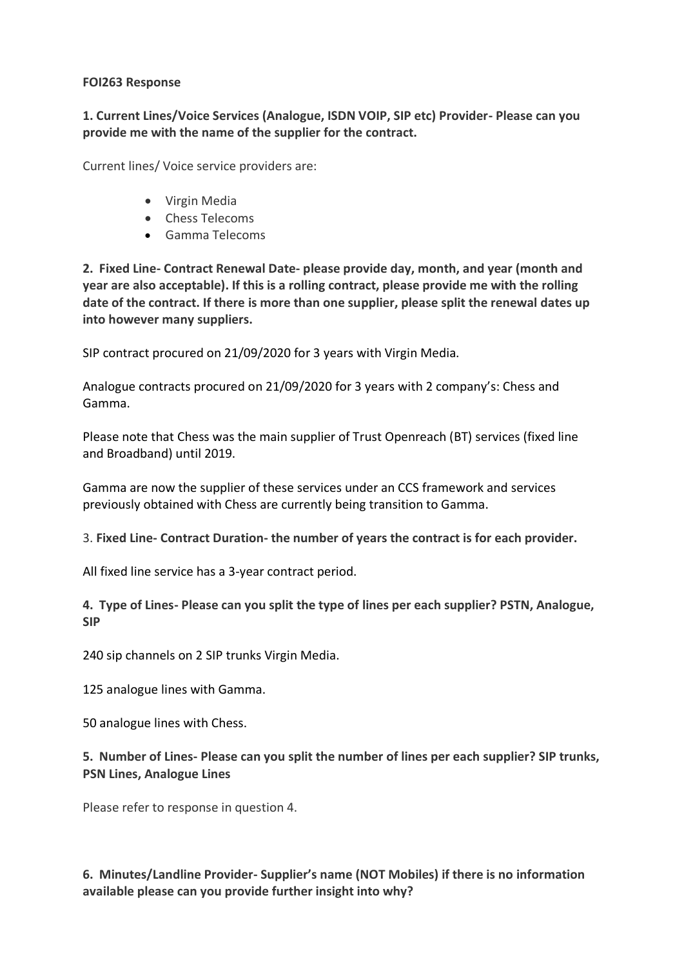#### **FOI263 Response**

**1. Current Lines/Voice Services (Analogue, ISDN VOIP, SIP etc) Provider- Please can you provide me with the name of the supplier for the contract.** 

Current lines/ Voice service providers are:

- Virgin Media
- Chess Telecoms
- Gamma Telecoms

**2. Fixed Line- Contract Renewal Date- please provide day, month, and year (month and year are also acceptable). If this is a rolling contract, please provide me with the rolling date of the contract. If there is more than one supplier, please split the renewal dates up into however many suppliers.** 

SIP contract procured on 21/09/2020 for 3 years with Virgin Media.

Analogue contracts procured on 21/09/2020 for 3 years with 2 company's: Chess and Gamma.

Please note that Chess was the main supplier of Trust Openreach (BT) services (fixed line and Broadband) until 2019.

Gamma are now the supplier of these services under an CCS framework and services previously obtained with Chess are currently being transition to Gamma.

3. **Fixed Line- Contract Duration- the number of years the contract is for each provider.**

All fixed line service has a 3-year contract period.

**4. Type of Lines- Please can you split the type of lines per each supplier? PSTN, Analogue, SIP**

240 sip channels on 2 SIP trunks Virgin Media.

125 analogue lines with Gamma.

50 analogue lines with Chess.

**5. Number of Lines- Please can you split the number of lines per each supplier? SIP trunks, PSN Lines, Analogue Lines**

Please refer to response in question 4.

**6. Minutes/Landline Provider- Supplier's name (NOT Mobiles) if there is no information available please can you provide further insight into why?**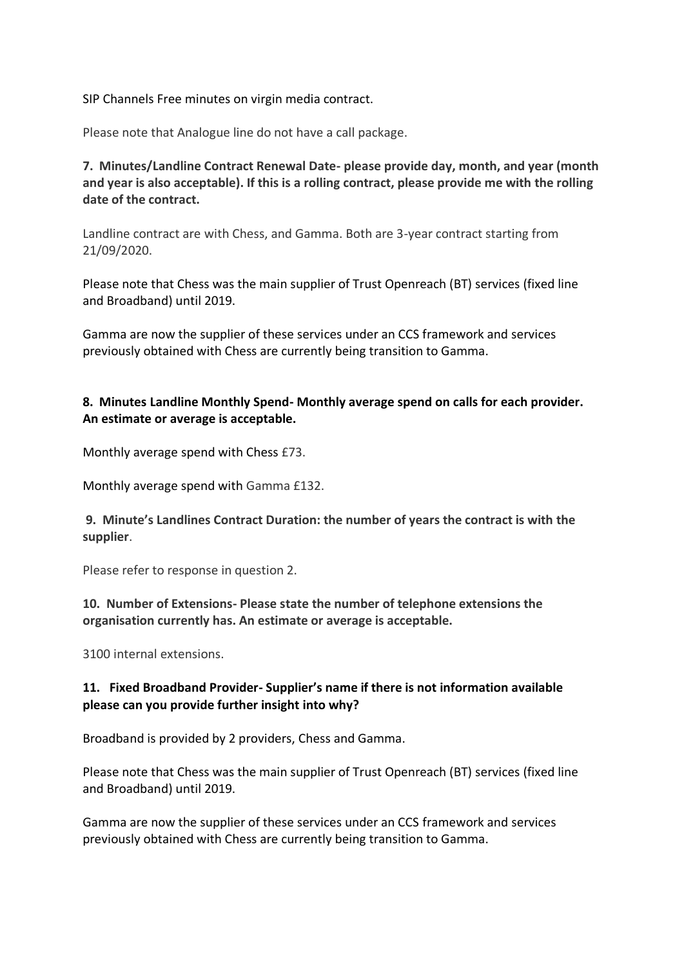SIP Channels Free minutes on virgin media contract.

Please note that Analogue line do not have a call package.

**7. Minutes/Landline Contract Renewal Date- please provide day, month, and year (month and year is also acceptable). If this is a rolling contract, please provide me with the rolling date of the contract.** 

Landline contract are with Chess, and Gamma. Both are 3-year contract starting from 21/09/2020.

Please note that Chess was the main supplier of Trust Openreach (BT) services (fixed line and Broadband) until 2019.

Gamma are now the supplier of these services under an CCS framework and services previously obtained with Chess are currently being transition to Gamma.

# **8. Minutes Landline Monthly Spend- Monthly average spend on calls for each provider. An estimate or average is acceptable.**

Monthly average spend with Chess £73.

Monthly average spend with Gamma £132.

**9. Minute's Landlines Contract Duration: the number of years the contract is with the supplier**.

Please refer to response in question 2.

**10. Number of Extensions- Please state the number of telephone extensions the organisation currently has. An estimate or average is acceptable.**

3100 internal extensions.

# **11. Fixed Broadband Provider- Supplier's name if there is not information available please can you provide further insight into why?**

Broadband is provided by 2 providers, Chess and Gamma.

Please note that Chess was the main supplier of Trust Openreach (BT) services (fixed line and Broadband) until 2019.

Gamma are now the supplier of these services under an CCS framework and services previously obtained with Chess are currently being transition to Gamma.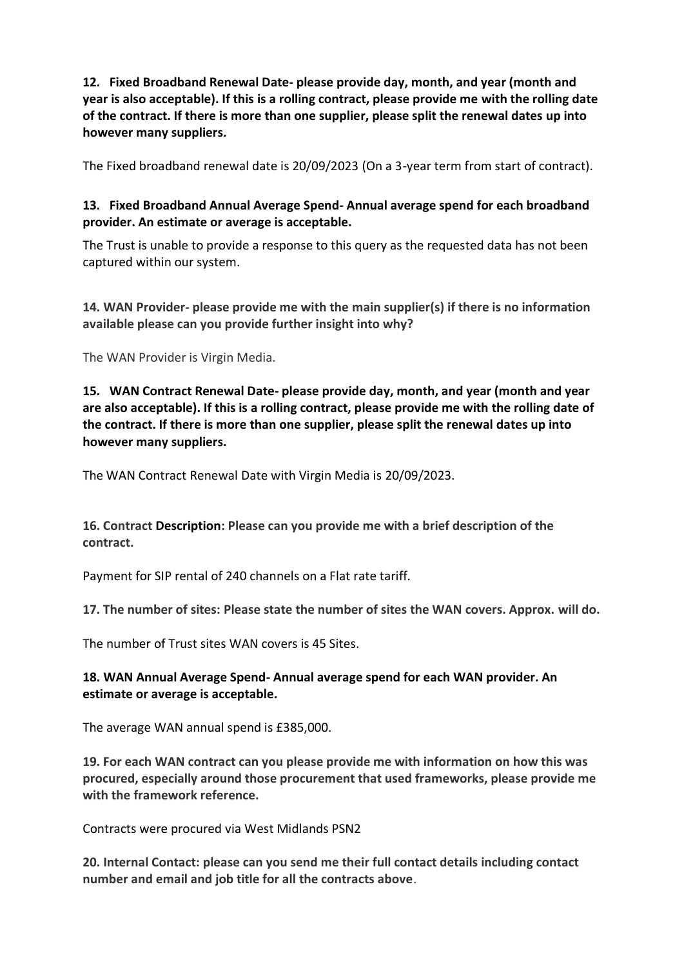**12. Fixed Broadband Renewal Date- please provide day, month, and year (month and year is also acceptable). If this is a rolling contract, please provide me with the rolling date of the contract. If there is more than one supplier, please split the renewal dates up into however many suppliers.** 

The Fixed broadband renewal date is 20/09/2023 (On a 3-year term from start of contract).

# **13. Fixed Broadband Annual Average Spend- Annual average spend for each broadband provider. An estimate or average is acceptable.**

The Trust is unable to provide a response to this query as the requested data has not been captured within our system.

**14. WAN Provider- please provide me with the main supplier(s) if there is no information available please can you provide further insight into why?** 

The WAN Provider is Virgin Media.

**15. WAN Contract Renewal Date- please provide day, month, and year (month and year are also acceptable). If this is a rolling contract, please provide me with the rolling date of the contract. If there is more than one supplier, please split the renewal dates up into however many suppliers.** 

The WAN Contract Renewal Date with Virgin Media is 20/09/2023.

**16. Contract Description: Please can you provide me with a brief description of the contract.**

Payment for SIP rental of 240 channels on a Flat rate tariff.

**17. The number of sites: Please state the number of sites the WAN covers. Approx. will do.** 

The number of Trust sites WAN covers is 45 Sites.

#### **18. WAN Annual Average Spend- Annual average spend for each WAN provider. An estimate or average is acceptable.**

The average WAN annual spend is £385,000.

**19. For each WAN contract can you please provide me with information on how this was procured, especially around those procurement that used frameworks, please provide me with the framework reference.** 

Contracts were procured via West Midlands PSN2

**20. Internal Contact: please can you send me their full contact details including contact number and email and job title for all the contracts above**.